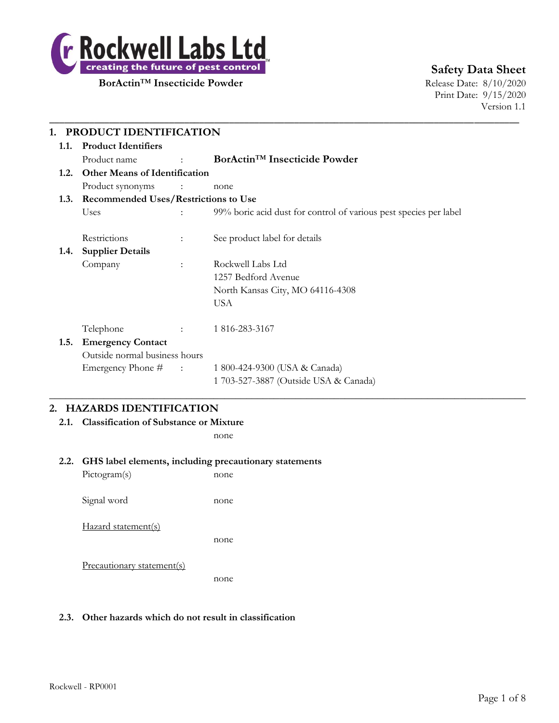

**Safety Data Sheet**

Print Date: 9/15/2020 Version 1.1

|      | 1. PRODUCT IDENTIFICATION                 |                                   |                                                                   |  |  |
|------|-------------------------------------------|-----------------------------------|-------------------------------------------------------------------|--|--|
| 1.1. | <b>Product Identifiers</b>                |                                   |                                                                   |  |  |
|      | Product name                              | <b>Contract Contract Contract</b> | BorActin <sup>TM</sup> Insecticide Powder                         |  |  |
| 1.2. | <b>Other Means of Identification</b>      |                                   |                                                                   |  |  |
|      | Product synonyms :                        |                                   | none                                                              |  |  |
|      | 1.3. Recommended Uses/Restrictions to Use |                                   |                                                                   |  |  |
|      | Uses                                      |                                   | 99% boric acid dust for control of various pest species per label |  |  |
|      | Restrictions                              |                                   | See product label for details                                     |  |  |
| 1.4. | <b>Supplier Details</b>                   |                                   |                                                                   |  |  |
|      | Company                                   | $\ddot{\phantom{a}}$              | Rockwell Labs Ltd                                                 |  |  |
|      |                                           |                                   | 1257 Bedford Avenue                                               |  |  |
|      |                                           |                                   | North Kansas City, MO 64116-4308                                  |  |  |
|      |                                           |                                   | <b>USA</b>                                                        |  |  |
|      | Telephone                                 |                                   | 1 816-283-3167                                                    |  |  |
| 1.5. | <b>Emergency Contact</b>                  |                                   |                                                                   |  |  |
|      | Outside normal business hours             |                                   |                                                                   |  |  |
|      | Emergency Phone # :                       |                                   | 1 800-424-9300 (USA & Canada)                                     |  |  |
|      |                                           |                                   | 1 703-527-3887 (Outside USA & Canada)                             |  |  |

 $\_$  , and the set of the set of the set of the set of the set of the set of the set of the set of the set of the set of the set of the set of the set of the set of the set of the set of the set of the set of the set of th

\_\_\_\_\_\_\_\_\_\_\_\_\_\_\_\_\_\_\_\_\_\_\_\_\_\_\_\_\_\_\_\_\_\_\_\_\_\_\_\_\_\_\_\_\_\_\_\_\_\_\_\_\_\_\_\_\_\_\_\_\_\_\_\_\_\_\_\_\_\_\_\_\_\_\_\_\_\_\_\_\_\_\_\_\_\_\_\_\_\_\_\_\_\_

# **2. HAZARDS IDENTIFICATION**

**2.1. Classification of Substance or Mixture**

none

#### **2.2. GHS label elements, including precautionary statements**

Pictogram(s) none Signal word none Hazard statement(s) none Precautionary statement(s) none

#### **2.3. Other hazards which do not result in classification**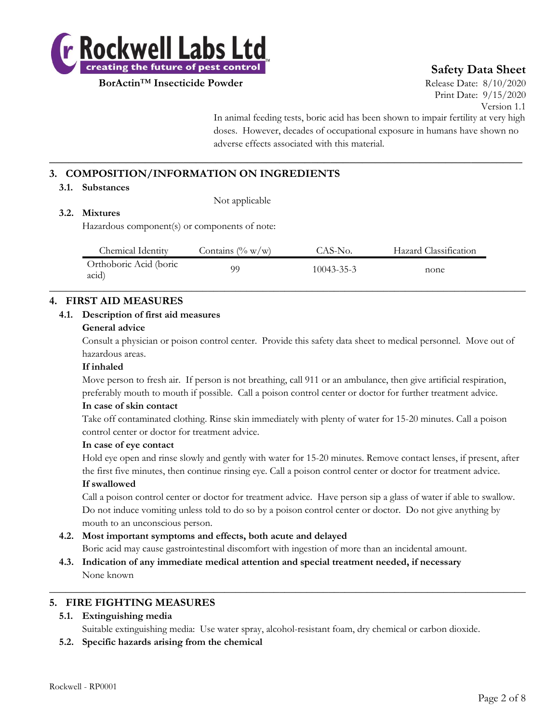

# **Safety Data Sheet**

Print Date: 9/15/2020 Version 1.1

In animal feeding tests, boric acid has been shown to impair fertility at very high doses. However, decades of occupational exposure in humans have shown no adverse effects associated with this material.

# **3. COMPOSITION/INFORMATION ON INGREDIENTS**

#### **3.1. Substances**

Not applicable

#### **3.2. Mixtures**

Hazardous component(s) or components of note:

| Chemical Identity               | Contains $(\% w/w)$ | CAS-No.          | Hazard Classification |  |
|---------------------------------|---------------------|------------------|-----------------------|--|
| Orthoboric Acid (boric<br>acid) | 99                  | $10043 - 35 - 3$ | none                  |  |

**\_\_\_\_\_\_\_\_\_\_\_\_\_\_\_\_\_\_\_\_\_\_\_\_\_\_\_\_\_\_\_\_\_\_\_\_\_\_\_\_\_\_\_\_\_\_\_\_\_\_\_\_\_\_\_\_\_\_\_\_\_\_\_\_\_\_\_\_\_\_\_\_\_\_**

# **4. FIRST AID MEASURES**

#### **4.1. Description of first aid measures**

#### **General advice**

Consult a physician or poison control center. Provide this safety data sheet to medical personnel. Move out of hazardous areas.

#### **If inhaled**

Move person to fresh air. If person is not breathing, call 911 or an ambulance, then give artificial respiration, preferably mouth to mouth if possible. Call a poison control center or doctor for further treatment advice.

#### **In case of skin contact**

Take off contaminated clothing. Rinse skin immediately with plenty of water for 15-20 minutes. Call a poison control center or doctor for treatment advice.

#### **In case of eye contact**

Hold eye open and rinse slowly and gently with water for 15-20 minutes. Remove contact lenses, if present, after the first five minutes, then continue rinsing eye. Call a poison control center or doctor for treatment advice. **If swallowed**

Call a poison control center or doctor for treatment advice. Have person sip a glass of water if able to swallow. Do not induce vomiting unless told to do so by a poison control center or doctor. Do not give anything by mouth to an unconscious person.

# **4.2. Most important symptoms and effects, both acute and delayed**

Boric acid may cause gastrointestinal discomfort with ingestion of more than an incidental amount.

**4.3. Indication of any immediate medical attention and special treatment needed, if necessary** None known

#### **5. FIRE FIGHTING MEASURES**

#### **5.1. Extinguishing media**

Suitable extinguishing media: Use water spray, alcohol-resistant foam, dry chemical or carbon dioxide.

 $\_$  , and the set of the set of the set of the set of the set of the set of the set of the set of the set of the set of the set of the set of the set of the set of the set of the set of the set of the set of the set of th

**5.2. Specific hazards arising from the chemical**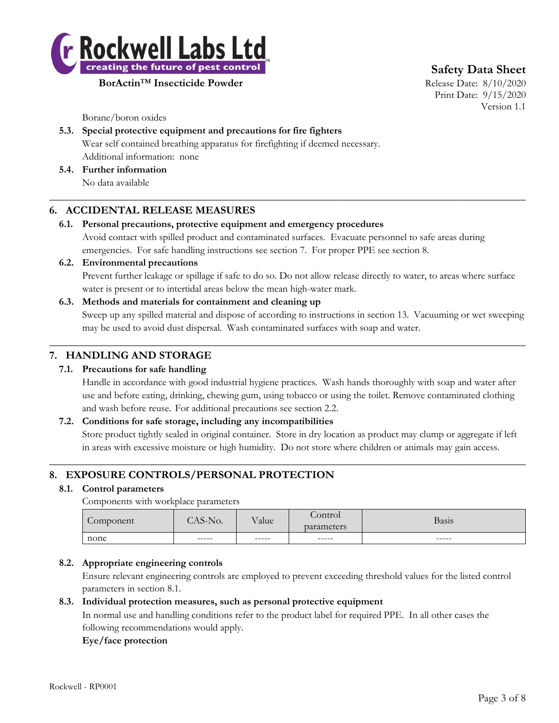

**Safety Data Sheet**

Print Date: 9/15/2020 Version 1.1

Borane/boron oxides

# **5.3. Special protective equipment and precautions for fire fighters**

Wear self contained breathing apparatus for firefighting if deemed necessary. Additional information: none

**5.4. Further information**

No data available

# **6. ACCIDENTAL RELEASE MEASURES**

# **6.1. Personal precautions, protective equipment and emergency procedures**

Avoid contact with spilled product and contaminated surfaces. Evacuate personnel to safe areas during emergencies. For safe handling instructions see section 7. For proper PPE see section 8.

 $\_$  , and the set of the set of the set of the set of the set of the set of the set of the set of the set of the set of the set of the set of the set of the set of the set of the set of the set of the set of the set of th

## **6.2. Environmental precautions**

Prevent further leakage or spillage if safe to do so. Do not allow release directly to water, to areas where surface water is present or to intertidal areas below the mean high-water mark.

## **6.3. Methods and materials for containment and cleaning up**

Sweep up any spilled material and dispose of according to instructions in section 13. Vacuuming or wet sweeping may be used to avoid dust dispersal. Wash contaminated surfaces with soap and water.

 $\_$  , and the set of the set of the set of the set of the set of the set of the set of the set of the set of the set of the set of the set of the set of the set of the set of the set of the set of the set of the set of th

# **7. HANDLING AND STORAGE**

# **7.1. Precautions for safe handling**

Handle in accordance with good industrial hygiene practices. Wash hands thoroughly with soap and water after use and before eating, drinking, chewing gum, using tobacco or using the toilet. Remove contaminated clothing and wash before reuse. For additional precautions see section 2.2.

# **7.2. Conditions for safe storage, including any incompatibilities**

Store product tightly sealed in original container. Store in dry location as product may clump or aggregate if left in areas with excessive moisture or high humidity. Do not store where children or animals may gain access.

 $\_$  , and the set of the set of the set of the set of the set of the set of the set of the set of the set of the set of the set of the set of the set of the set of the set of the set of the set of the set of the set of th

# **8. EXPOSURE CONTROLS/PERSONAL PROTECTION**

#### **8.1. Control parameters**

Components with workplace parameters

| Component | AS-No. | Value | Control<br>parameters | Basis  |
|-----------|--------|-------|-----------------------|--------|
| none      | ------ | ----- | ------                | ------ |
|           |        |       |                       |        |

# **8.2. Appropriate engineering controls**

Ensure relevant engineering controls are employed to prevent exceeding threshold values for the listed control parameters in section 8.1.

#### **8.3. Individual protection measures, such as personal protective equipment**

In normal use and handling conditions refer to the product label for required PPE. In all other cases the following recommendations would apply.

#### **Eye/face protection**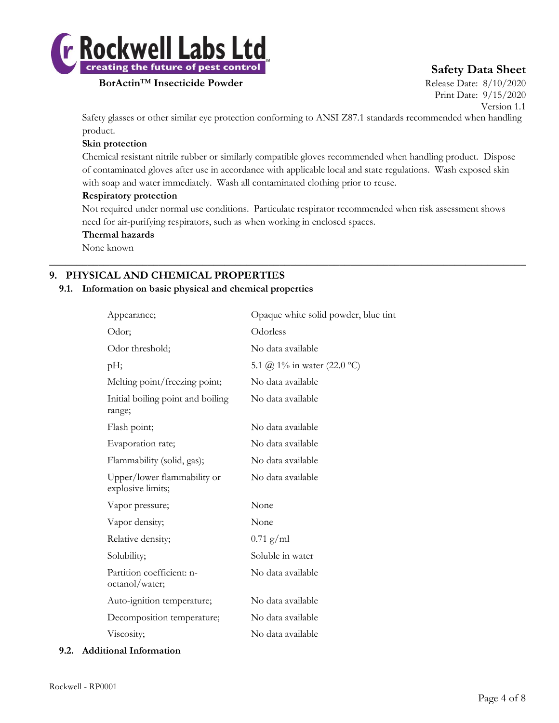

# **Safety Data Sheet**

Print Date: 9/15/2020 Version 1.1

Safety glasses or other similar eye protection conforming to ANSI Z87.1 standards recommended when handling product.

#### **Skin protection**

Chemical resistant nitrile rubber or similarly compatible gloves recommended when handling product. Dispose of contaminated gloves after use in accordance with applicable local and state regulations. Wash exposed skin with soap and water immediately. Wash all contaminated clothing prior to reuse.

#### **Respiratory protection**

Not required under normal use conditions. Particulate respirator recommended when risk assessment shows need for air-purifying respirators, such as when working in enclosed spaces.

 $\_$  , and the set of the set of the set of the set of the set of the set of the set of the set of the set of the set of the set of the set of the set of the set of the set of the set of the set of the set of the set of th

#### **Thermal hazards**

None known

# **9. PHYSICAL AND CHEMICAL PROPERTIES**

#### **9.1. Information on basic physical and chemical properties**

| Appearance;                                      | Opaque white solid powder, blue tint |
|--------------------------------------------------|--------------------------------------|
| Odor;                                            | Odorless                             |
| Odor threshold;                                  | No data available                    |
| pH;                                              | 5.1 @ 1% in water (22.0 °C)          |
| Melting point/freezing point;                    | No data available                    |
| Initial boiling point and boiling<br>range;      | No data available                    |
| Flash point;                                     | No data available                    |
| Evaporation rate;                                | No data available                    |
| Flammability (solid, gas);                       | No data available                    |
| Upper/lower flammability or<br>explosive limits; | No data available                    |
| Vapor pressure;                                  | None                                 |
| Vapor density;                                   | None                                 |
| Relative density;                                | $0.71$ g/ml                          |
| Solubility;                                      | Soluble in water                     |
| Partition coefficient: n-<br>octanol/water;      | No data available                    |
| Auto-ignition temperature;                       | No data available                    |
| Decomposition temperature;                       | No data available                    |
| Viscosity;                                       | No data available                    |

#### **9.2. Additional Information**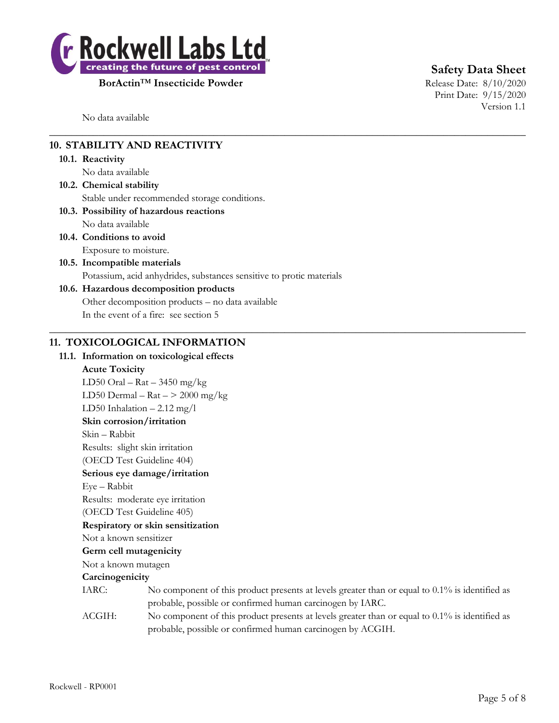

**Safety Data Sheet**

Print Date: 9/15/2020 Version 1.1

No data available

# **10. STABILITY AND REACTIVITY**

#### **10.1. Reactivity**

No data available

**10.2. Chemical stability** Stable under recommended storage conditions.

# **10.3. Possibility of hazardous reactions**

No data available

**10.4. Conditions to avoid**

Exposure to moisture. **10.5. Incompatible materials**

Potassium, acid anhydrides, substances sensitive to protic materials

 $\_$  , and the set of the set of the set of the set of the set of the set of the set of the set of the set of the set of the set of the set of the set of the set of the set of the set of the set of the set of the set of th

 $\_$  , and the set of the set of the set of the set of the set of the set of the set of the set of the set of the set of the set of the set of the set of the set of the set of the set of the set of the set of the set of th

# **10.6. Hazardous decomposition products**

Other decomposition products – no data available

In the event of a fire: see section 5

# **11. TOXICOLOGICAL INFORMATION**

## **11.1. Information on toxicological effects**

#### **Acute Toxicity**

LD50 Oral – Rat – 3450 mg/kg LD50 Dermal –  $\text{Rat}$  –  $>$  2000 mg/kg LD50 Inhalation – 2.12 mg/l **Skin corrosion/irritation** Skin – Rabbit Results: slight skin irritation (OECD Test Guideline 404) **Serious eye damage/irritation** Eye – Rabbit Results: moderate eye irritation (OECD Test Guideline 405) **Respiratory or skin sensitization** Not a known sensitizer **Germ cell mutagenicity** Not a known mutagen **Carcinogenicity** IARC: No component of this product presents at levels greater than or equal to 0.1% is identified as

probable, possible or confirmed human carcinogen by IARC. ACGIH: No component of this product presents at levels greater than or equal to 0.1% is identified as probable, possible or confirmed human carcinogen by ACGIH.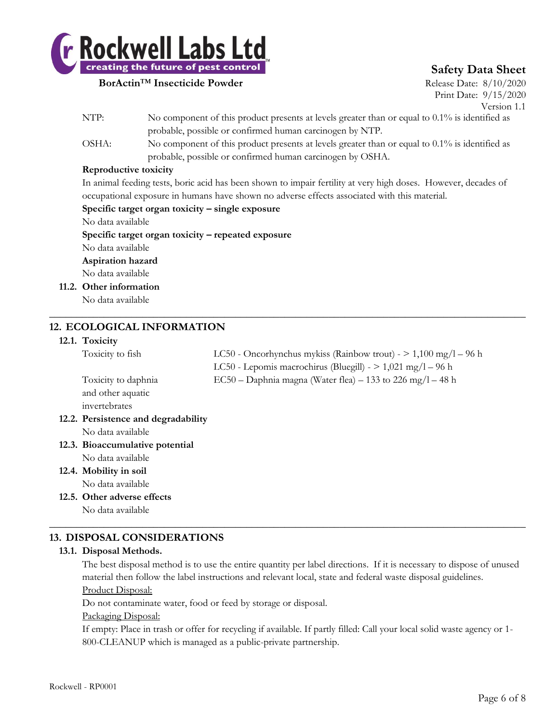

# **Safety Data Sheet**

Print Date: 9/15/2020 Version 1.1

- NTP: No component of this product presents at levels greater than or equal to 0.1% is identified as probable, possible or confirmed human carcinogen by NTP.
- OSHA: No component of this product presents at levels greater than or equal to 0.1% is identified as probable, possible or confirmed human carcinogen by OSHA.

#### **Reproductive toxicity**

In animal feeding tests, boric acid has been shown to impair fertility at very high doses. However, decades of occupational exposure in humans have shown no adverse effects associated with this material.

#### **Specific target organ toxicity – single exposure**

No data available

**Specific target organ toxicity – repeated exposure**

No data available **Aspiration hazard**

No data available

**11.2. Other information**

No data available

# **12. ECOLOGICAL INFORMATION**

#### **12.1. Toxicity**

| Toxicity to fish                    | LC50 - Oncorhynchus mykiss (Rainbow trout) - $> 1,100 \text{ mg/l} - 96 \text{ h}$ |
|-------------------------------------|------------------------------------------------------------------------------------|
|                                     | LC50 - Lepomis macrochirus (Bluegill) - $> 1,021$ mg/l - 96 h                      |
| Toxicity to daphnia                 | EC50 – Daphnia magna (Water flea) – 133 to 226 mg/l – 48 h                         |
| and other aquatic                   |                                                                                    |
| invertebrates                       |                                                                                    |
| 12.2. Persistence and degradability |                                                                                    |
| No data available                   |                                                                                    |
| 12.3. Bioaccumulative potential     |                                                                                    |
| No data available                   |                                                                                    |
| 12.4. Mobility in soil              |                                                                                    |
| No data available                   |                                                                                    |
| 12.5. Other adverse effects         |                                                                                    |

 $\_$  , and the set of the set of the set of the set of the set of the set of the set of the set of the set of the set of the set of the set of the set of the set of the set of the set of the set of the set of the set of th

No data available

# **13. DISPOSAL CONSIDERATIONS**

#### **13.1. Disposal Methods.**

The best disposal method is to use the entire quantity per label directions. If it is necessary to dispose of unused material then follow the label instructions and relevant local, state and federal waste disposal guidelines.

 $\_$  , and the set of the set of the set of the set of the set of the set of the set of the set of the set of the set of the set of the set of the set of the set of the set of the set of the set of the set of the set of th

Product Disposal:

Do not contaminate water, food or feed by storage or disposal.

#### Packaging Disposal:

If empty: Place in trash or offer for recycling if available. If partly filled: Call your local solid waste agency or 1- 800-CLEANUP which is managed as a public-private partnership.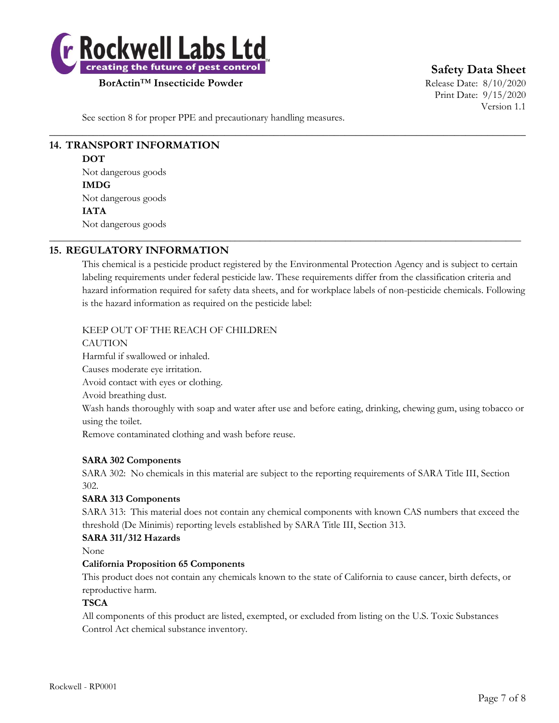

**Safety Data Sheet**

Print Date: 9/15/2020 Version 1.1

See section 8 for proper PPE and precautionary handling measures.

# **14. TRANSPORT INFORMATION**

**DOT**

Not dangerous goods **IMDG** Not dangerous goods **IATA** Not dangerous goods

# **15. REGULATORY INFORMATION**

This chemical is a pesticide product registered by the Environmental Protection Agency and is subject to certain labeling requirements under federal pesticide law. These requirements differ from the classification criteria and hazard information required for safety data sheets, and for workplace labels of non-pesticide chemicals. Following is the hazard information as required on the pesticide label:

 $\_$  , and the set of the set of the set of the set of the set of the set of the set of the set of the set of the set of the set of the set of the set of the set of the set of the set of the set of the set of the set of th

\_\_\_\_\_\_\_\_\_\_\_\_\_\_\_\_\_\_\_\_\_\_\_\_\_\_\_\_\_\_\_\_\_\_\_\_\_\_\_\_\_\_\_\_\_\_\_\_\_\_\_\_\_\_\_\_\_\_\_\_\_\_\_\_\_\_\_\_\_\_\_\_\_\_\_\_\_\_\_\_\_\_\_\_\_\_\_\_\_\_\_\_\_\_

#### KEEP OUT OF THE REACH OF CHILDREN

**CAUTION** Harmful if swallowed or inhaled. Causes moderate eye irritation. Avoid contact with eyes or clothing. Avoid breathing dust. Wash hands thoroughly with soap and water after use and before eating, drinking, chewing gum, using tobacco or using the toilet. Remove contaminated clothing and wash before reuse.

#### **SARA 302 Components**

SARA 302: No chemicals in this material are subject to the reporting requirements of SARA Title III, Section 302.

# **SARA 313 Components**

SARA 313: This material does not contain any chemical components with known CAS numbers that exceed the threshold (De Minimis) reporting levels established by SARA Title III, Section 313.

#### **SARA 311/312 Hazards**

None

#### **California Proposition 65 Components**

This product does not contain any chemicals known to the state of California to cause cancer, birth defects, or reproductive harm.

#### **TSCA**

All components of this product are listed, exempted, or excluded from listing on the U.S. Toxic Substances Control Act chemical substance inventory.